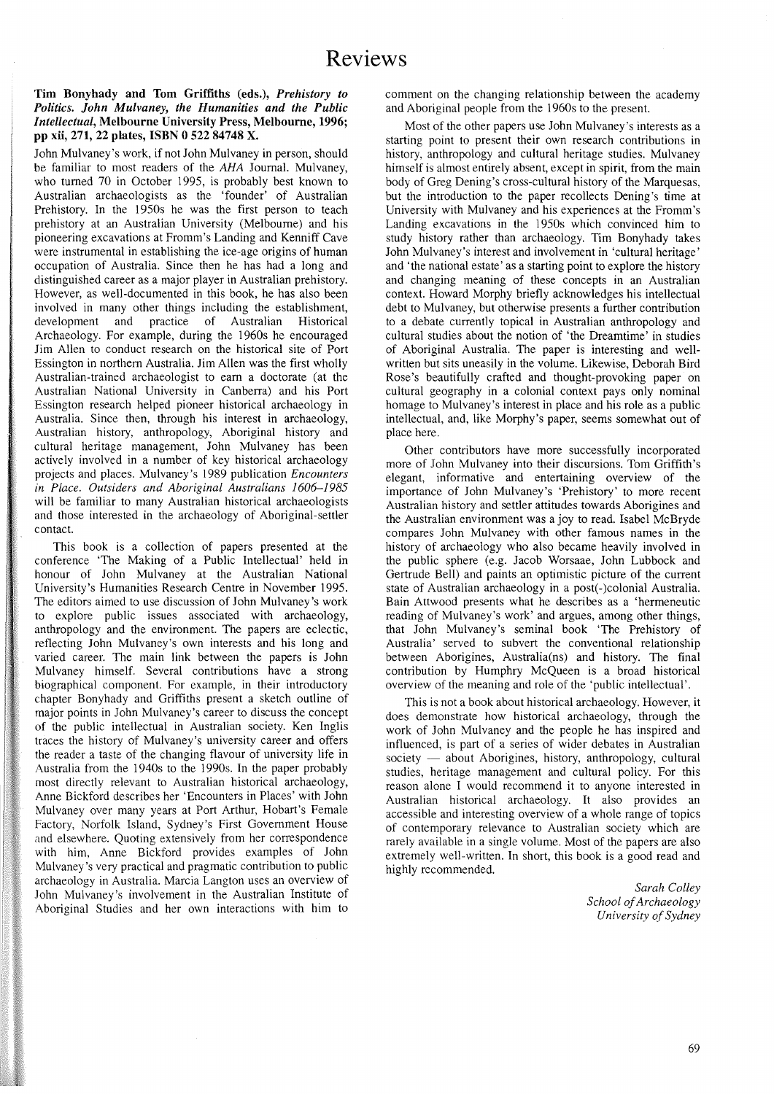## Tim Bonyhady and Tom Griffiths (eds.), *Prehistory to Politics. John Mulvaney, the Humanities and the Public Intellectual,* Melbourne University Press, Melbourne, 1996; pp xii, 271, 22 plates, ISBN 0 522 84748 X.

John Mulvaney's work, if not John Mulvaney in person, should be familiar to most readers of the AHA Journal. Mulvaney, who turned 70 in October 1995, is probably best known to Australian archaeologists as the 'founder' of Australian Prehistory. In the 1950s he was the first person to teach prehistory at an Australian University (Melbourne) and his pioneering excavations at Fromm's Landing and Kenniff Cave were instrumental in establishing the ice-age origins of human occupation of Australia. Since then he has had a long and distinguished career as a major player in Australian prehistory. However, as well-documented in this book, he has also been involved in many other things including the establishment, development and practice of Australian Historical development and practice of Australian Archaeology. For example, during the 1960s he encouraged Jim Allen to conduct research on the historical site of Port Essington in northern Australia. Jim Allen was the first wholly Australian-trained archaeologist to earn a doctorate (at the Australian National University in Canberra) and his Port Essington research helped pioneer historical archaeology in Australia. Since then, through his interest in archaeology, Australian history, anthropology, Aboriginal history and cultural heritage management, John Mulvaney has been actively involved in a number of key historical archaeology projects and places. Mulvaney's 1989 publication *Encounters in Place. Outsiders and Aboriginal Australians 1606-1985* will be familiar to many Australian historical archaeologists and those interested in the archaeology of Aboriginal-settler contact.

This book is a collection of papers presented at the conference 'The Making of a Public Intellectual' held in honour of John Mulvaney at the Australian National University's Humanities Research Centre in November 1995. The editors aimed to use discussion of John Mulvaney's work to explore public issues associated with archaeology, anthropology and the environment. The papers are eclectic, reflecting John Mulvaney's own interests and his long and varied career. The main link between the papers is John Mulvaney himself. Several contributions have a strong biographical component. For example, in their introductory chapter Bonyhady and Griffiths present a sketch outline of major points in John Mulvaney's career to discuss the concept of the public intellectual in Australian society. Ken Inglis traces the history of Mulvaney's university career and offers the reader a taste of the changing flavour of university life in Australia from the 1940s to the 1990s. In the paper probably most directly relevant to Australian historical archaeology, Anne Bickford describes her 'Encounters in Places' with John Mulvaney over many years at Port Arthur, Hobart's Female Factory, Norfolk Island, Sydney's First Government House and elsewhere. Quoting extensively from her correspondence with him, Anne Bickford provides examples of John Mulvaney's very practical and pragmatic contribution to public archaeology in Australia. Marcia Langton uses an overview of John Mulvaney's involvement in the Australian Institute of Aboriginal Studies and her own interactions with him to comment on the changing relationship between the academy and Aboriginal people from the 1960s to the present.

Most of the other papers use John Mulvaney's interests as a starting point to present their own research contributions in history, anthropology and cultural heritage studies. Mulvaney himself is almost entirely absent, except in spirit, from the main body of Greg Dening's cross-cultural history of the Marquesas, but the introduction to the paper recollects Dening's time at University with Mulvaney and his experiences at the Fromm's Landing excavations in the 1950s which convinced him to study history rather than archaeology. Tim Bonyhady takes John Mulvaney's interest and involvement in 'cultural heritage' and 'the national estate' as a starting point to explore the history and changing meaning of these concepts in an Australian context. Howard Morphy briefly acknowledges his intellectual debt to Mulvaney, but otherwise presents a further contribution to a debate currently topical in Australian anthropology and cultural studies about the notion of 'the Dreamtime' in studies of Aboriginal Australia. The paper is interesting and wellwritten but sits uneasily in the volume. Likewise, Deborah Bird Rose's beautifully crafted and thought-provoking paper on cultural geography in a colonial context pays only nominal homage to Mulvaney's interest in place and his role as a public intellectual, and, like Morphy's paper, seems somewhat out of place here.

Other contributors have more successfully incorporated more of John Mulvaney into their discursions. Tom Griffith's elegant, informative and entertaining overview of the importance of John Mulvaney's 'Prehistory' to more recent Australian history and settler attitudes towards Aborigines and the Australian environment was a joy to read. Isabel McBryde compares John Mulvaney with other famous names in the history of archaeology who also became heavily involved in the public sphere (e.g. Jacob Worsaae, John Lubbock and Gertrude Bell) and paints an optimistic picture of the current state of Australian archaeology in a post(-)colonial Australia. Bain Attwood presents what he describes as a 'hermeneutic reading of Mulvaney's work' and argues, among other things, that John Mulvaney's seminal book 'The Prehistory of Australia' served to subvert the conventional relationship between Aborigines, Australia(ns) and history. The final contribution by Humphry McQueen is a broad historical overview of the meaning and role of the 'public intellectual'.

This is not a book about historical archaeology. However, it does demonstrate how historical archaeology, through the work of John Mulvaney and the people he has inspired and influenced, is part of a series of wider debates in Australian society — about Aborigines, history, anthropology, cultural studies, heritage management and cultural policy. For this reason alone I would recommend it to anyone interested in Australian historical archaeology. It also provides an accessible and interesting overview of a whole range of topics of contemporary relevance to Australian society which are rarely available in a single volume. Most of the papers are also extremely well-written. In short, this book is a good read and highly recommended.

> *Sarah Colley School ofArchaeology University ofSydney*